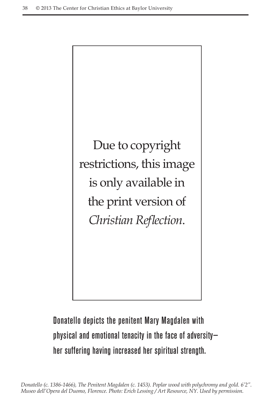

Donatello depicts the penitent Mary Magdalen with physical and emotional tenacity in the face of adversity her suffering having increased her spiritual strength.